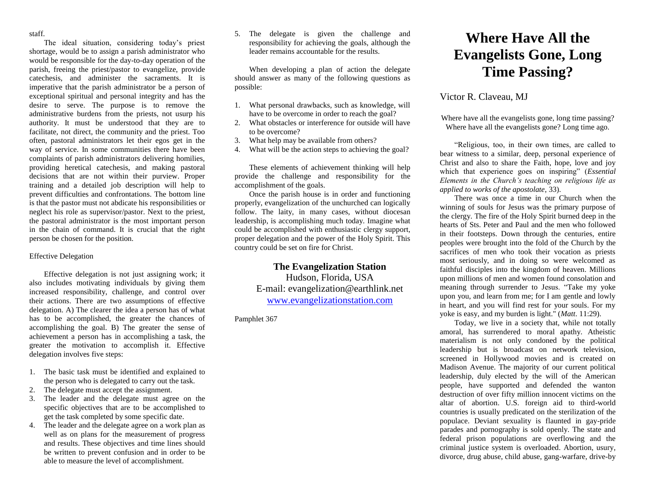staff.

The ideal situation, considering today's priest shortage, would be to assign a parish administrator who would be responsible for the day-to-day operation of the parish, freeing the priest/pastor to evangelize, provide catechesis, and administer the sacraments. It is imperative that the parish administrator be a person of exceptional spiritual and personal integrity and has the desire to serve. The purpose is to remove the administrative burdens from the priests, not usurp his authority. It must be understood that they are to facilitate, not direct, the community and the priest. Too often, pastoral administrators let their egos get in the way of service. In some communities there have been complaints of parish administrators delivering homilies, providing heretical catechesis, and making pastoral decisions that are not within their purview. Proper training and a detailed job description will help to prevent difficulties and confrontations. The bottom line is that the pastor must not abdicate his responsibilities or neglect his role as supervisor/pastor. Next to the priest, the pastoral administrator is the most important person in the chain of command. It is crucial that the right person be chosen for the position.

## Effective Delegation

Effective delegation is not just assigning work; it also includes motivating individuals by giving them increased responsibility, challenge, and control over their actions. There are two assumptions of effective delegation. A) The clearer the idea a person has of what has to be accomplished, the greater the chances of accomplishing the goal. B) The greater the sense of achievement a person has in accomplishing a task, the greater the motivation to accomplish it. Effective delegation involves five steps:

- 1. The basic task must be identified and explained to the person who is delegated to carry out the task.
- 2. The delegate must accept the assignment.
- 3. The leader and the delegate must agree on the specific objectives that are to be accomplished to get the task completed by some specific date.
- 4. The leader and the delegate agree on a work plan as well as on plans for the measurement of progress and results. These objectives and time lines should be written to prevent confusion and in order to be able to measure the level of accomplishment.

5. The delegate is given the challenge and responsibility for achieving the goals, although the leader remains accountable for the results.

When developing a plan of action the delegate should answer as many of the following questions as possible:

- 1. What personal drawbacks, such as knowledge, will have to be overcome in order to reach the goal?
- 2. What obstacles or interference for outside will have to be overcome?
- 3. What help may be available from others?
- 4. What will be the action steps to achieving the goal?

These elements of achievement thinking will help provide the challenge and responsibility for the accomplishment of the goals.

Once the parish house is in order and functioning properly, evangelization of the unchurched can logically follow. The laity, in many cases, without diocesan leadership, is accomplishing much today. Imagine what could be accomplished with enthusiastic clergy support, proper delegation and the power of the Holy Spirit. This country could be set on fire for Christ.

## **The Evangelization Station**

Hudson, Florida, USA E-mail: evangelization@earthlink.net [www.evangelizationstation.com](http://www.pjpiisoe.org/)

Pamphlet 367

## **Where Have All the Evangelists Gone, Long Time Passing?**

## Victor R. Claveau, MJ

Where have all the evangelists gone, long time passing? Where have all the evangelists gone? Long time ago.

"Religious, too, in their own times, are called to bear witness to a similar, deep, personal experience of Christ and also to share the Faith, hope, love and joy which that experience goes on inspiring" (*Essential Elements in the Church's teaching on religious life as applied to works of the apostolate*, 33).

There was once a time in our Church when the winning of souls for Jesus was the primary purpose of the clergy. The fire of the Holy Spirit burned deep in the hearts of Sts. Peter and Paul and the men who followed in their footsteps. Down through the centuries, entire peoples were brought into the fold of the Church by the sacrifices of men who took their vocation as priests most seriously, and in doing so were welcomed as faithful disciples into the kingdom of heaven. Millions upon millions of men and women found consolation and meaning through surrender to Jesus. "Take my yoke upon you, and learn from me; for I am gentle and lowly in heart, and you will find rest for your souls. For my yoke is easy, and my burden is light." (*Matt*. 11:29).

Today, we live in a society that, while not totally amoral, has surrendered to moral apathy. Atheistic materialism is not only condoned by the political leadership but is broadcast on network television, screened in Hollywood movies and is created on Madison Avenue. The majority of our current political leadership, duly elected by the will of the American people, have supported and defended the wanton destruction of over fifty million innocent victims on the altar of abortion. U.S. foreign aid to third-world countries is usually predicated on the sterilization of the populace. Deviant sexuality is flaunted in gay-pride parades and pornography is sold openly. The state and federal prison populations are overflowing and the criminal justice system is overloaded. Abortion, usury, divorce, drug abuse, child abuse, gang-warfare, drive-by